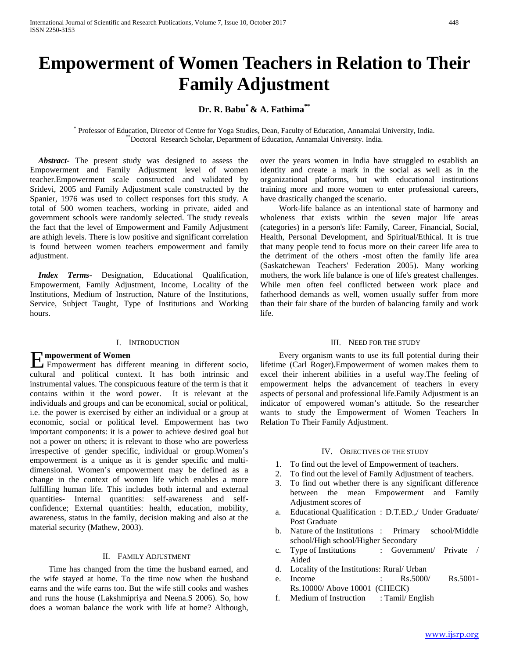# **Empowerment of Women Teachers in Relation to Their Family Adjustment**

# **Dr. R. Babu\* & A. Fathima\*\***

\* Professor of Education, Director of Centre for Yoga Studies, Dean, Faculty of Education, Annamalai University, India. \*\*Doctoral Research Scholar, Department of Education, Annamalai University. India.

 *Abstract***-** The present study was designed to assess the Empowerment and Family Adjustment level of women teacher.Empowerment scale constructed and validated by Sridevi, 2005 and Family Adjustment scale constructed by the Spanier, 1976 was used to collect responses fort this study. A total of 500 women teachers, working in private, aided and government schools were randomly selected. The study reveals the fact that the level of Empowerment and Family Adjustment are athigh levels. There is low positive and significant correlation is found between women teachers empowerment and family adjustment.

 *Index Terms*- Designation, Educational Qualification, Empowerment, Family Adjustment, Income, Locality of the Institutions, Medium of Instruction, Nature of the Institutions, Service, Subject Taught, Type of Institutions and Working hours.

#### I. INTRODUCTION

# **mpowerment of Women**

Empowerment of Women<br>
Empowerment has different meaning in different socio, cultural and political context. It has both intrinsic and instrumental values. The conspicuous feature of the term is that it contains within it the word power. It is relevant at the individuals and groups and can be economical, social or political, i.e. the power is exercised by either an individual or a group at economic, social or political level. Empowerment has two important components: it is a power to achieve desired goal but not a power on others; it is relevant to those who are powerless irrespective of gender specific, individual or group.Women's empowerment is a unique as it is gender specific and multidimensional. Women's empowerment may be defined as a change in the context of women life which enables a more fulfilling human life. This includes both internal and external quantities- Internal quantities: self-awareness and selfconfidence; External quantities: health, education, mobility, awareness, status in the family, decision making and also at the material security (Mathew, 2003).

#### II. FAMILY ADJUSTMENT

 Time has changed from the time the husband earned, and the wife stayed at home. To the time now when the husband earns and the wife earns too. But the wife still cooks and washes and runs the house (Lakshmipriya and Neena.S 2006). So, how does a woman balance the work with life at home? Although, over the years women in India have struggled to establish an identity and create a mark in the social as well as in the organizational platforms, but with educational institutions training more and more women to enter professional careers, have drastically changed the scenario.

 Work-life balance as an intentional state of harmony and wholeness that exists within the seven major life areas (categories) in a person's life: Family, Career, Financial, Social, Health, Personal Development, and Spiritual/Ethical. It is true that many people tend to focus more on their career life area to the detriment of the others -most often the family life area (Saskatchewan Teachers' Federation 2005). Many working mothers, the work life balance is one of life's greatest challenges. While men often feel conflicted between work place and fatherhood demands as well, women usually suffer from more than their fair share of the burden of balancing family and work life.

#### III. NEED FOR THE STUDY

 Every organism wants to use its full potential during their lifetime (Carl Roger).Empowerment of women makes them to excel their inherent abilities in a useful way.The feeling of empowerment helps the advancement of teachers in every aspects of personal and professional life.Family Adjustment is an indicator of empowered woman's attitude. So the researcher wants to study the Empowerment of Women Teachers In Relation To Their Family Adjustment.

#### IV. OBJECTIVES OF THE STUDY

- 1. To find out the level of Empowerment of teachers.
- 2. To find out the level of Family Adjustment of teachers.
- 3. To find out whether there is any significant difference between the mean Empowerment and Family Adjustment scores of
- a. Educational Qualification : D.T.ED.,/ Under Graduate/ Post Graduate
- b. Nature of the Institutions : Primary school/Middle school/High school/Higher Secondary
- c. Type of Institutions : Government/ Private / Aided
- d. Locality of the Institutions: Rural/ Urban
- e. Income : Rs.5000/ Rs.5001- Rs.10000/ Above 10001 (CHECK)
- f. Medium of Instruction : Tamil/ English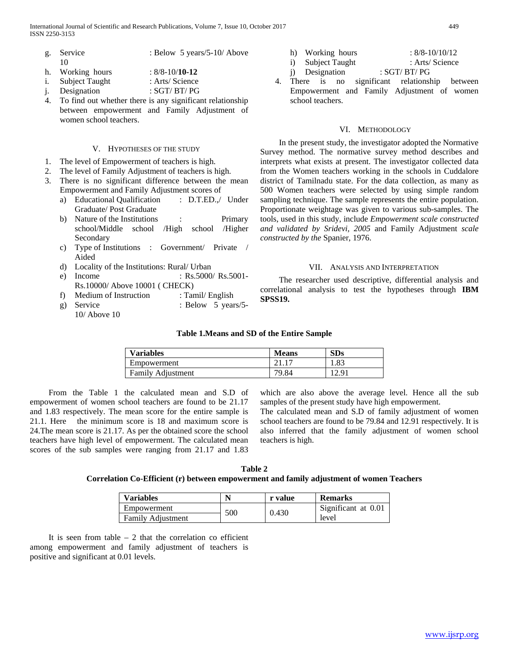International Journal of Scientific and Research Publications, Volume 7, Issue 10, October 2017 449 ISSN 2250-3153

- g. Service : Below 5 years/5-10/ Above 10
- h. Working hours : 8/8-10/**10-12**
- i. Subject Taught : Arts/ Science<br>
j. Designation : SGT/ BT/ PG
- j. Designation : SGT/ BT/ PG
- 4. To find out whether there is any significant relationship between empowerment and Family Adjustment of women school teachers.

#### V. HYPOTHESES OF THE STUDY

- 1. The level of Empowerment of teachers is high.
- 2. The level of Family Adjustment of teachers is high.
- 3. There is no significant difference between the mean Empowerment and Family Adjustment scores of
	- a) Educational Qualification : D.T.ED.,/ Under Graduate/ Post Graduate
	- b) Nature of the Institutions : Primary school/Middle school /High school /Higher Secondary
	- c) Type of Institutions : Government/ Private / Aided
	- d) Locality of the Institutions: Rural/ Urban
	- e) Income : Rs.5000/ Rs.5001-Rs.10000/ Above 10001 ( CHECK)
	- f) Medium of Instruction : Tamil/ English
	- g) Service : Below 5 years/5-10/ Above 10

| h) Working hours  | $: 8/8 - 10/10/12$ |
|-------------------|--------------------|
| i) Subject Taught | : Arts/ Science    |
| j) Designation    | :SGT/BT/PG         |

4. There is no significant relationship between Empowerment and Family Adjustment of women school teachers.

#### VI. METHODOLOGY

 In the present study, the investigator adopted the Normative Survey method. The normative survey method describes and interprets what exists at present. The investigator collected data from the Women teachers working in the schools in Cuddalore district of Tamilnadu state. For the data collection, as many as 500 Women teachers were selected by using simple random sampling technique. The sample represents the entire population. Proportionate weightage was given to various sub-samples. The tools, used in this study, include *Empowerment scale constructed and validated by Sridevi, 2005* and Family Adjustment *scale constructed by the* Spanier, 1976.

#### VII. ANALYSIS AND INTERPRETATION

 The researcher used descriptive, differential analysis and correlational analysis to test the hypotheses through **IBM SPSS19.**

# **Table 1.Means and SD of the Entire Sample**

| <b>Variables</b>         | <b>Means</b> | SDs   |
|--------------------------|--------------|-------|
| Empowerment              |              | 1.83  |
| <b>Family Adjustment</b> | 79.84        | 12.91 |

 From the Table 1 the calculated mean and S.D of empowerment of women school teachers are found to be 21.17 and 1.83 respectively. The mean score for the entire sample is 21.1. Here the minimum score is 18 and maximum score is 24.The mean score is 21.17. As per the obtained score the school teachers have high level of empowerment. The calculated mean scores of the sub samples were ranging from 21.17 and 1.83

which are also above the average level. Hence all the sub samples of the present study have high empowerment.

The calculated mean and S.D of family adjustment of women school teachers are found to be 79.84 and 12.91 respectively. It is also inferred that the family adjustment of women school teachers is high.

| Table 2                                                                                  |  |
|------------------------------------------------------------------------------------------|--|
| Correlation Co-Efficient (r) between empowerment and family adjustment of women Teachers |  |

| <b>Variables</b>         |     | r value | <b>Remarks</b>      |  |  |
|--------------------------|-----|---------|---------------------|--|--|
| Empowerment              | 500 | 0.430   | Significant at 0.01 |  |  |
| <b>Family Adiustment</b> |     |         | level               |  |  |

It is seen from table  $-2$  that the correlation co efficient among empowerment and family adjustment of teachers is positive and significant at 0.01 levels.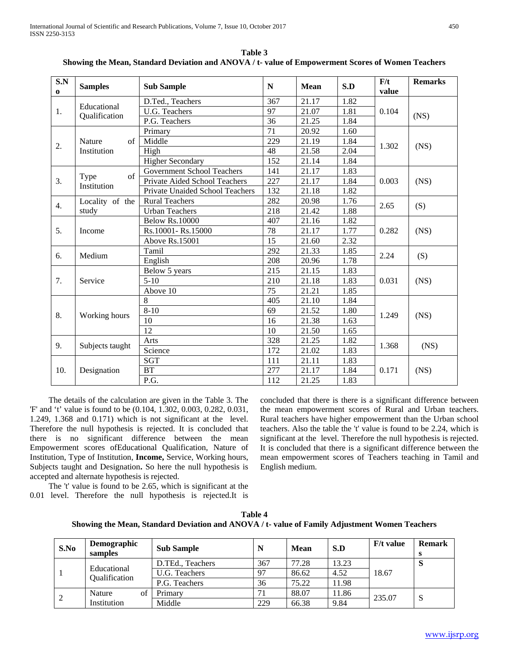| S.N<br>$\bf{0}$ | <b>Samples</b>               | <b>Sub Sample</b>                 | N   | <b>Mean</b> | S.D  | F/t<br>value | <b>Remarks</b> |
|-----------------|------------------------------|-----------------------------------|-----|-------------|------|--------------|----------------|
| 1.              | Educational<br>Qualification | D.Ted., Teachers                  | 367 | 21.17       | 1.82 |              |                |
|                 |                              | U.G. Teachers                     | 97  | 21.07       | 1.81 | 0.104        | (NS)           |
|                 |                              | P.G. Teachers                     | 36  | 21.25       | 1.84 |              |                |
|                 |                              | Primary                           | 71  | 20.92       | 1.60 | 1.302        | (NS)           |
| 2.              | <b>Nature</b><br>$\sigma$ f  | Middle                            | 229 | 21.19       | 1.84 |              |                |
|                 | Institution                  | High                              | 48  | 21.58       | 2.04 |              |                |
|                 |                              | <b>Higher Secondary</b>           | 152 | 21.14       | 1.84 |              |                |
|                 | $\alpha$ f                   | <b>Government School Teachers</b> | 141 | 21.17       | 1.83 |              | (NS)           |
| 3.              | Type<br>Institution          | Private Aided School Teachers     | 227 | 21.17       | 1.84 | 0.003        |                |
|                 |                              | Private Unaided School Teachers   | 132 | 21.18       | 1.82 |              |                |
| 4.              | Locality of the              | <b>Rural Teachers</b>             | 282 | 20.98       | 1.76 | 2.65         | (S)            |
|                 | study                        | <b>Urban Teachers</b>             | 218 | 21.42       | 1.88 |              |                |
|                 | Income                       | <b>Below Rs.10000</b>             | 407 | 21.16       | 1.82 | 0.282        | (NS)           |
| 5.              |                              | Rs.10001-Rs.15000                 | 78  | 21.17       | 1.77 |              |                |
|                 |                              | Above Rs.15001                    | 15  | 21.60       | 2.32 |              |                |
| 6.              | Medium                       | Tamil                             | 292 | 21.33       | 1.85 | 2.24         | (S)            |
|                 |                              | English                           | 208 | 20.96       | 1.78 |              |                |
|                 | Service                      | Below 5 years                     | 215 | 21.15       | 1.83 | 0.031        | (NS)           |
| 7.              |                              | $5-10$                            | 210 | 21.18       | 1.83 |              |                |
|                 |                              | Above 10                          | 75  | 21.21       | 1.85 |              |                |
|                 | Working hours                | 8                                 | 405 | 21.10       | 1.84 |              | (NS)           |
| 8.              |                              | $8 - 10$                          | 69  | 21.52       | 1.80 | 1.249        |                |
|                 |                              | 10                                | 16  | 21.38       | 1.63 |              |                |
|                 |                              | 12                                | 10  | 21.50       | 1.65 |              |                |
| 9.              | Subjects taught              | Arts                              | 328 | 21.25       | 1.82 | 1.368        | (NS)           |
|                 |                              | Science                           | 172 | 21.02       | 1.83 |              |                |
|                 |                              | <b>SGT</b>                        | 111 | 21.11       | 1.83 | 0.171        | (NS)           |
| 10.             | Designation                  | <b>BT</b>                         | 277 | 21.17       | 1.84 |              |                |
|                 |                              | P.G.                              | 112 | 21.25       | 1.83 |              |                |

**Table 3 Showing the Mean, Standard Deviation and ANOVA / t- value of Empowerment Scores of Women Teachers**

 The details of the calculation are given in the Table 3. The 'F' and 't' value is found to be (0.104, 1.302, 0.003, 0.282, 0.031, 1.249, 1.368 and 0.171) which is not significant at the level. Therefore the null hypothesis is rejected. It is concluded that there is no significant difference between the mean Empowerment scores ofEducational Qualification, Nature of Institution, Type of Institution, **Income,** Service, Working hours, Subjects taught and Designation**.** So here the null hypothesis is accepted and alternate hypothesis is rejected.

concluded that there is there is a significant difference between the mean empowerment scores of Rural and Urban teachers. Rural teachers have higher empowerment than the Urban school teachers. Also the table the 't' value is found to be 2.24, which is significant at the level. Therefore the null hypothesis is rejected. It is concluded that there is a significant difference between the mean empowerment scores of Teachers teaching in Tamil and English medium.

 The 't' value is found to be 2.65, which is significant at the 0.01 level. Therefore the null hypothesis is rejected.It is

| Table 4                                                                                       |
|-----------------------------------------------------------------------------------------------|
| Showing the Mean, Standard Deviation and ANOVA / t- value of Family Adjustment Women Teachers |

| S.No | Demographic<br>samples       | <b>Sub Sample</b> | N   | <b>Mean</b> | S.D   | <b>F</b> /t value | <b>Remark</b> |
|------|------------------------------|-------------------|-----|-------------|-------|-------------------|---------------|
|      |                              | D.TEd., Teachers  | 367 | 77.28       | 13.23 |                   | <b>S</b>      |
|      | Educational<br>Qualification | U.G. Teachers     | 97  | 86.62       | 4.52  | 18.67             |               |
|      |                              | P.G. Teachers     | 36  | 75.22       | 11.98 |                   |               |
| 2    | of<br>Nature                 | Primary           | 71  | 88.07       | 11.86 |                   |               |
|      | Institution                  | Middle            | 229 | 66.38       | 9.84  | 235.07            | S             |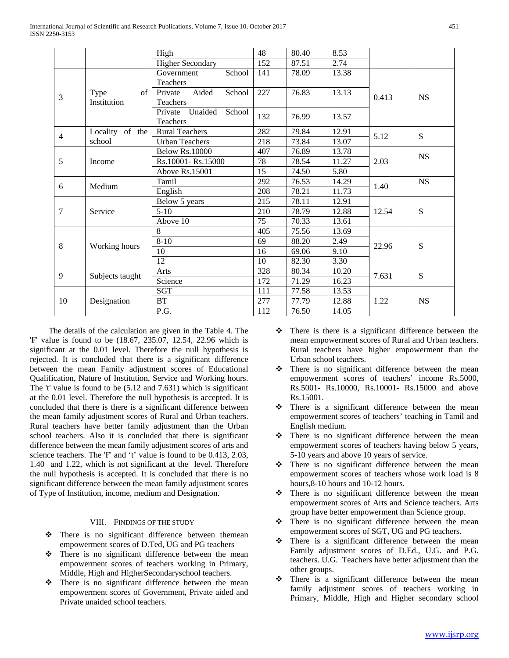|                 |                 | High                         | 48  | 80.40 | 8.53  |       |           |
|-----------------|-----------------|------------------------------|-----|-------|-------|-------|-----------|
|                 |                 | <b>Higher Secondary</b>      | 152 | 87.51 | 2.74  |       |           |
|                 |                 | School<br>Government         | 141 | 78.09 | 13.38 |       |           |
|                 |                 | Teachers                     |     |       |       |       | <b>NS</b> |
| 3               | Type<br>of      | Aided<br>Private<br>School   | 227 | 76.83 | 13.13 | 0.413 |           |
|                 | Institution     | Teachers                     |     |       |       |       |           |
|                 |                 | Unaided<br>Private<br>School |     | 76.99 | 13.57 |       |           |
|                 |                 | Teachers                     | 132 |       |       |       |           |
| $\overline{4}$  | Locality of the | <b>Rural Teachers</b>        | 282 | 79.84 | 12.91 | 5.12  | S         |
|                 | school          | <b>Urban Teachers</b>        | 218 | 73.84 | 13.07 |       |           |
|                 |                 | <b>Below Rs.10000</b>        | 407 | 76.89 | 13.78 |       | <b>NS</b> |
| 5               | Income          | Rs.10001-Rs.15000            | 78  | 78.54 | 11.27 | 2.03  |           |
|                 |                 | Above Rs.15001               | 15  | 74.50 | 5.80  |       |           |
| 6               |                 | Tamil                        | 292 | 76.53 | 14.29 |       | <b>NS</b> |
|                 | Medium          | English                      | 208 | 78.21 | 11.73 | 1.40  |           |
|                 |                 | Below 5 years                | 215 | 78.11 | 12.91 | 12.54 | S         |
| $7\phantom{.0}$ | Service         | $5-10$                       | 210 | 78.79 | 12.88 |       |           |
|                 |                 | Above 10                     | 75  | 70.33 | 13.61 |       |           |
|                 | Working hours   | 8                            | 405 | 75.56 | 13.69 |       | S         |
| 8               |                 | $8 - 10$                     | 69  | 88.20 | 2.49  |       |           |
|                 |                 | 10                           | 16  | 69.06 | 9.10  | 22.96 |           |
|                 |                 | 12                           | 10  | 82.30 | 3.30  |       |           |
| 9               | Subjects taught | Arts                         | 328 | 80.34 | 10.20 |       | S         |
|                 |                 | Science                      | 172 | 71.29 | 16.23 | 7.631 |           |
| 10              |                 | <b>SGT</b>                   | 111 | 77.58 | 13.53 |       |           |
|                 | Designation     | BT                           | 277 | 77.79 | 12.88 | 1.22  | <b>NS</b> |
|                 |                 | P.G.                         | 112 | 76.50 | 14.05 |       |           |
|                 |                 |                              |     |       |       |       |           |

 The details of the calculation are given in the Table 4. The 'F' value is found to be (18.67, 235.07, 12.54, 22.96 which is significant at the 0.01 level. Therefore the null hypothesis is rejected. It is concluded that there is a significant difference between the mean Family adjustment scores of Educational Qualification, Nature of Institution, Service and Working hours. The 't' value is found to be (5.12 and 7.631) which is significant at the 0.01 level. Therefore the null hypothesis is accepted. It is concluded that there is there is a significant difference between the mean family adjustment scores of Rural and Urban teachers. Rural teachers have better family adjustment than the Urban school teachers. Also it is concluded that there is significant difference between the mean family adjustment scores of arts and science teachers. The 'F' and 't' value is found to be 0.413, 2.03, 1.40 and 1.22, which is not significant at the level. Therefore the null hypothesis is accepted. It is concluded that there is no significant difference between the mean family adjustment scores of Type of Institution, income, medium and Designation.

# VIII. FINDINGS OF THE STUDY

- There is no significant difference between themean empowerment scores of D.Ted, UG and PG teachers
- $\div$  There is no significant difference between the mean empowerment scores of teachers working in Primary, Middle, High and HigherSecondaryschool teachers.
- $\cdot \cdot$  There is no significant difference between the mean empowerment scores of Government, Private aided and Private unaided school teachers.
- $\div$  There is there is a significant difference between the mean empowerment scores of Rural and Urban teachers. Rural teachers have higher empowerment than the Urban school teachers.
- $\div$  There is no significant difference between the mean empowerment scores of teachers' income Rs.5000, Rs.5001- Rs.10000, Rs.10001- Rs.15000 and above Rs.15001.
- $\cdot \cdot$  There is a significant difference between the mean empowerment scores of teachers' teaching in Tamil and English medium.
- $\div$  There is no significant difference between the mean empowerment scores of teachers having below 5 years, 5-10 years and above 10 years of service.
- $\div$  There is no significant difference between the mean empowerment scores of teachers whose work load is 8 hours,8-10 hours and 10-12 hours.
- $\div$  There is no significant difference between the mean empowerment scores of Arts and Science teachers. Arts group have better empowerment than Science group.
- $\div$  There is no significant difference between the mean empowerment scores of SGT, UG and PG teachers.
- $\div$  There is a significant difference between the mean Family adjustment scores of D.Ed., U.G. and P.G. teachers. U.G. Teachers have better adjustment than the other groups.
- $\cdot \cdot$  There is a significant difference between the mean family adjustment scores of teachers working in Primary, Middle, High and Higher secondary school